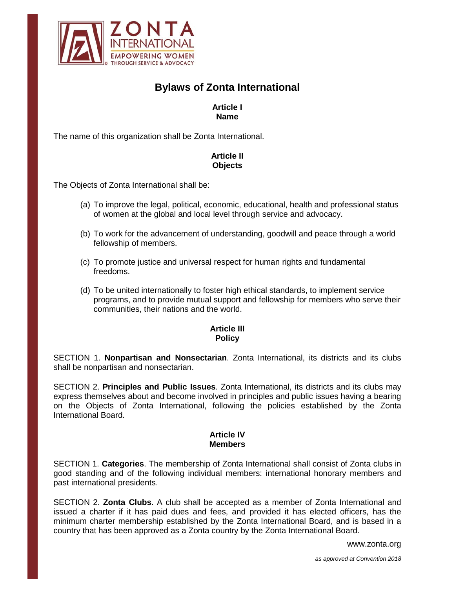

# **Bylaws of Zonta International**

## **Article I Name**

The name of this organization shall be Zonta International.

# **Article II Objects**

The Objects of Zonta International shall be:

- (a) To improve the legal, political, economic, educational, health and professional status of women at the global and local level through service and advocacy.
- (b) To work for the advancement of understanding, goodwill and peace through a world fellowship of members.
- (c) To promote justice and universal respect for human rights and fundamental freedoms.
- (d) To be united internationally to foster high ethical standards, to implement service programs, and to provide mutual support and fellowship for members who serve their communities, their nations and the world.

## **Article III Policy**

SECTION 1. **Nonpartisan and Nonsectarian**. Zonta International, its districts and its clubs shall be nonpartisan and nonsectarian.

SECTION 2. **Principles and Public Issues**. Zonta International, its districts and its clubs may express themselves about and become involved in principles and public issues having a bearing on the Objects of Zonta International, following the policies established by the Zonta International Board.

## **Article IV Members**

SECTION 1. **Categories**. The membership of Zonta International shall consist of Zonta clubs in good standing and of the following individual members: international honorary members and past international presidents.

SECTION 2. **Zonta Clubs**. A club shall be accepted as a member of Zonta International and issued a charter if it has paid dues and fees, and provided it has elected officers, has the minimum charter membership established by the Zonta International Board, and is based in a country that has been approved as a Zonta country by the Zonta International Board.

www.zonta.org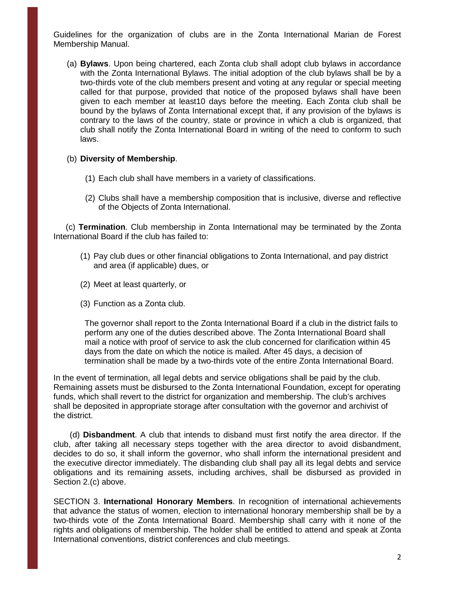Guidelines for the organization of clubs are in the Zonta International Marian de Forest Membership Manual.

(a) **Bylaws**. Upon being chartered, each Zonta club shall adopt club bylaws in accordance with the Zonta International Bylaws. The initial adoption of the club bylaws shall be by a two-thirds vote of the club members present and voting at any regular or special meeting called for that purpose, provided that notice of the proposed bylaws shall have been given to each member at least10 days before the meeting. Each Zonta club shall be bound by the bylaws of Zonta International except that, if any provision of the bylaws is contrary to the laws of the country, state or province in which a club is organized, that club shall notify the Zonta International Board in writing of the need to conform to such laws.

## (b) **Diversity of Membership**.

- (1) Each club shall have members in a variety of classifications.
- (2) Clubs shall have a membership composition that is inclusive, diverse and reflective of the Objects of Zonta International.

(c) **Termination**. Club membership in Zonta International may be terminated by the Zonta International Board if the club has failed to:

- (1) Pay club dues or other financial obligations to Zonta International, and pay district and area (if applicable) dues, or
- (2) Meet at least quarterly, or
- (3) Function as a Zonta club.

The governor shall report to the Zonta International Board if a club in the district fails to perform any one of the duties described above. The Zonta International Board shall mail a notice with proof of service to ask the club concerned for clarification within 45 days from the date on which the notice is mailed. After 45 days, a decision of termination shall be made by a two-thirds vote of the entire Zonta International Board.

In the event of termination, all legal debts and service obligations shall be paid by the club. Remaining assets must be disbursed to the Zonta International Foundation, except for operating funds, which shall revert to the district for organization and membership. The club's archives shall be deposited in appropriate storage after consultation with the governor and archivist of the district.

(d) **Disbandment**. A club that intends to disband must first notify the area director. If the club, after taking all necessary steps together with the area director to avoid disbandment, decides to do so, it shall inform the governor, who shall inform the international president and the executive director immediately. The disbanding club shall pay all its legal debts and service obligations and its remaining assets, including archives, shall be disbursed as provided in Section 2.(c) above.

SECTION 3. **International Honorary Members**. In recognition of international achievements that advance the status of women, election to international honorary membership shall be by a two-thirds vote of the Zonta International Board. Membership shall carry with it none of the rights and obligations of membership. The holder shall be entitled to attend and speak at Zonta International conventions, district conferences and club meetings.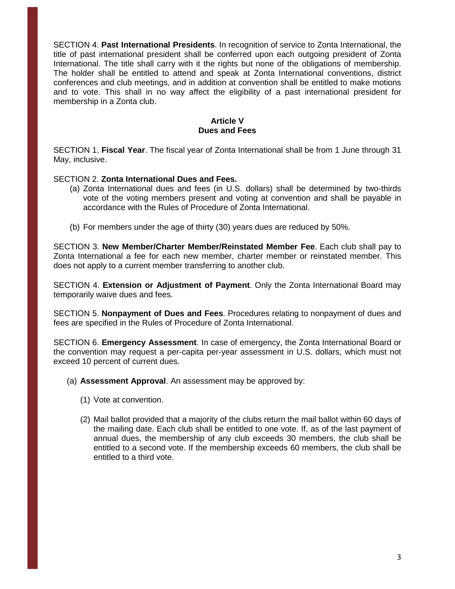SECTION 4. **Past International Presidents**. In recognition of service to Zonta International, the title of past international president shall be conferred upon each outgoing president of Zonta International. The title shall carry with it the rights but none of the obligations of membership. The holder shall be entitled to attend and speak at Zonta International conventions, district conferences and club meetings, and in addition at convention shall be entitled to make motions and to vote. This shall in no way affect the eligibility of a past international president for membership in a Zonta club.

## **Article V Dues and Fees**

SECTION 1. **Fiscal Year**. The fiscal year of Zonta International shall be from 1 June through 31 May, inclusive.

## SECTION 2. **Zonta International Dues and Fees.**

- (a) Zonta International dues and fees (in U.S. dollars) shall be determined by two-thirds vote of the voting members present and voting at convention and shall be payable in accordance with the Rules of Procedure of Zonta International.
- (b) For members under the age of thirty (30) years dues are reduced by 50%.

SECTION 3. **New Member/Charter Member/Reinstated Member Fee**. Each club shall pay to Zonta International a fee for each new member, charter member or reinstated member. This does not apply to a current member transferring to another club.

SECTION 4. **Extension or Adjustment of Payment**. Only the Zonta International Board may temporarily waive dues and fees.

SECTION 5. **Nonpayment of Dues and Fees**. Procedures relating to nonpayment of dues and fees are specified in the Rules of Procedure of Zonta International.

SECTION 6. **Emergency Assessment**. In case of emergency, the Zonta International Board or the convention may request a per-capita per-year assessment in U.S. dollars, which must not exceed 10 percent of current dues.

- (a) **Assessment Approval**. An assessment may be approved by:
	- (1) Vote at convention.
	- (2) Mail ballot provided that a majority of the clubs return the mail ballot within 60 days of the mailing date. Each club shall be entitled to one vote. If, as of the last payment of annual dues, the membership of any club exceeds 30 members, the club shall be entitled to a second vote. If the membership exceeds 60 members, the club shall be entitled to a third vote.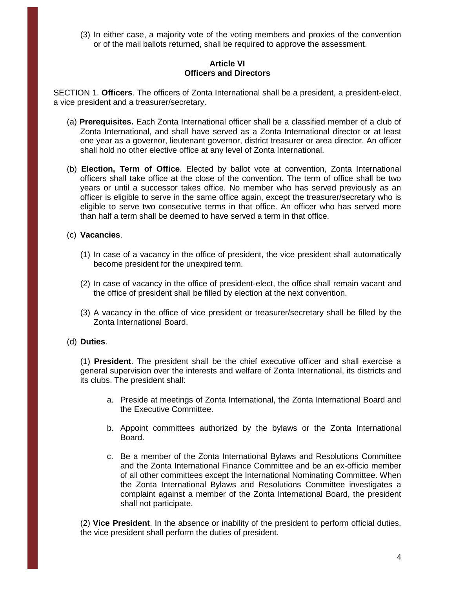(3) In either case, a majority vote of the voting members and proxies of the convention or of the mail ballots returned, shall be required to approve the assessment.

## **Article VI Officers and Directors**

SECTION 1. **Officers**. The officers of Zonta International shall be a president, a president-elect, a vice president and a treasurer/secretary.

- (a) **Prerequisites.** Each Zonta International officer shall be a classified member of a club of Zonta International, and shall have served as a Zonta International director or at least one year as a governor, lieutenant governor, district treasurer or area director. An officer shall hold no other elective office at any level of Zonta International.
- (b) **Election, Term of Office**. Elected by ballot vote at convention, Zonta International officers shall take office at the close of the convention. The term of office shall be two years or until a successor takes office. No member who has served previously as an officer is eligible to serve in the same office again, except the treasurer/secretary who is eligible to serve two consecutive terms in that office. An officer who has served more than half a term shall be deemed to have served a term in that office.

## (c) **Vacancies**.

- (1) In case of a vacancy in the office of president, the vice president shall automatically become president for the unexpired term.
- (2) In case of vacancy in the office of president-elect, the office shall remain vacant and the office of president shall be filled by election at the next convention.
- (3) A vacancy in the office of vice president or treasurer/secretary shall be filled by the Zonta International Board.

## (d) **Duties**.

(1) **President**. The president shall be the chief executive officer and shall exercise a general supervision over the interests and welfare of Zonta International, its districts and its clubs. The president shall:

- a. Preside at meetings of Zonta International, the Zonta International Board and the Executive Committee.
- b. Appoint committees authorized by the bylaws or the Zonta International Board.
- c. Be a member of the Zonta International Bylaws and Resolutions Committee and the Zonta International Finance Committee and be an ex-officio member of all other committees except the International Nominating Committee. When the Zonta International Bylaws and Resolutions Committee investigates a complaint against a member of the Zonta International Board, the president shall not participate.

(2) **Vice President**. In the absence or inability of the president to perform official duties, the vice president shall perform the duties of president.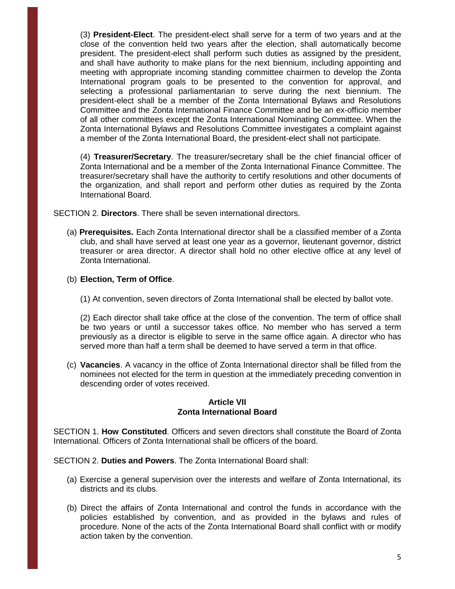(3) **President-Elect**. The president-elect shall serve for a term of two years and at the close of the convention held two years after the election, shall automatically become president. The president-elect shall perform such duties as assigned by the president, and shall have authority to make plans for the next biennium, including appointing and meeting with appropriate incoming standing committee chairmen to develop the Zonta International program goals to be presented to the convention for approval, and selecting a professional parliamentarian to serve during the next biennium. The president-elect shall be a member of the Zonta International Bylaws and Resolutions Committee and the Zonta International Finance Committee and be an ex-officio member of all other committees except the Zonta International Nominating Committee. When the Zonta International Bylaws and Resolutions Committee investigates a complaint against a member of the Zonta International Board, the president-elect shall not participate.

(4) **Treasurer/Secretary**. The treasurer/secretary shall be the chief financial officer of Zonta International and be a member of the Zonta International Finance Committee. The treasurer/secretary shall have the authority to certify resolutions and other documents of the organization, and shall report and perform other duties as required by the Zonta International Board.

SECTION 2. **Directors**. There shall be seven international directors.

(a) **Prerequisites.** Each Zonta International director shall be a classified member of a Zonta club, and shall have served at least one year as a governor, lieutenant governor, district treasurer or area director. A director shall hold no other elective office at any level of Zonta International.

## (b) **Election, Term of Office**.

(1) At convention, seven directors of Zonta International shall be elected by ballot vote.

(2) Each director shall take office at the close of the convention. The term of office shall be two years or until a successor takes office. No member who has served a term previously as a director is eligible to serve in the same office again. A director who has served more than half a term shall be deemed to have served a term in that office.

(c) **Vacancies**. A vacancy in the office of Zonta International director shall be filled from the nominees not elected for the term in question at the immediately preceding convention in descending order of votes received.

## **Article VII Zonta International Board**

SECTION 1. **How Constituted**. Officers and seven directors shall constitute the Board of Zonta International. Officers of Zonta International shall be officers of the board.

SECTION 2. **Duties and Powers**. The Zonta International Board shall:

- (a) Exercise a general supervision over the interests and welfare of Zonta International, its districts and its clubs.
- (b) Direct the affairs of Zonta International and control the funds in accordance with the policies established by convention, and as provided in the bylaws and rules of procedure. None of the acts of the Zonta International Board shall conflict with or modify action taken by the convention.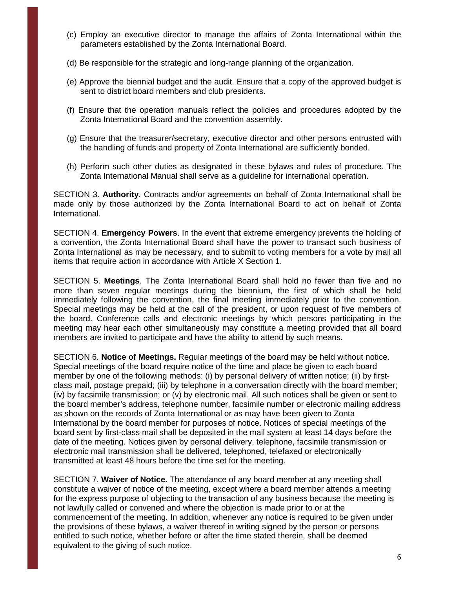- (c) Employ an executive director to manage the affairs of Zonta International within the parameters established by the Zonta International Board.
- (d) Be responsible for the strategic and long-range planning of the organization.
- (e) Approve the biennial budget and the audit. Ensure that a copy of the approved budget is sent to district board members and club presidents.
- (f) Ensure that the operation manuals reflect the policies and procedures adopted by the Zonta International Board and the convention assembly.
- (g) Ensure that the treasurer/secretary, executive director and other persons entrusted with the handling of funds and property of Zonta International are sufficiently bonded.
- (h) Perform such other duties as designated in these bylaws and rules of procedure. The Zonta International Manual shall serve as a guideline for international operation.

SECTION 3. **Authority**. Contracts and/or agreements on behalf of Zonta International shall be made only by those authorized by the Zonta International Board to act on behalf of Zonta International.

SECTION 4. **Emergency Powers**. In the event that extreme emergency prevents the holding of a convention, the Zonta International Board shall have the power to transact such business of Zonta International as may be necessary, and to submit to voting members for a vote by mail all items that require action in accordance with Article X Section 1.

SECTION 5. **Meetings**. The Zonta International Board shall hold no fewer than five and no more than seven regular meetings during the biennium, the first of which shall be held immediately following the convention, the final meeting immediately prior to the convention. Special meetings may be held at the call of the president, or upon request of five members of the board. Conference calls and electronic meetings by which persons participating in the meeting may hear each other simultaneously may constitute a meeting provided that all board members are invited to participate and have the ability to attend by such means.

SECTION 6. **Notice of Meetings.** Regular meetings of the board may be held without notice. Special meetings of the board require notice of the time and place be given to each board member by one of the following methods: (i) by personal delivery of written notice; (ii) by firstclass mail, postage prepaid; (iii) by telephone in a conversation directly with the board member; (iv) by facsimile transmission; or (v) by electronic mail. All such notices shall be given or sent to the board member's address, telephone number, facsimile number or electronic mailing address as shown on the records of Zonta International or as may have been given to Zonta International by the board member for purposes of notice. Notices of special meetings of the board sent by first-class mail shall be deposited in the mail system at least 14 days before the date of the meeting. Notices given by personal delivery, telephone, facsimile transmission or electronic mail transmission shall be delivered, telephoned, telefaxed or electronically transmitted at least 48 hours before the time set for the meeting.

SECTION 7. **Waiver of Notice.** The attendance of any board member at any meeting shall constitute a waiver of notice of the meeting, except where a board member attends a meeting for the express purpose of objecting to the transaction of any business because the meeting is not lawfully called or convened and where the objection is made prior to or at the commencement of the meeting. In addition, whenever any notice is required to be given under the provisions of these bylaws, a waiver thereof in writing signed by the person or persons entitled to such notice, whether before or after the time stated therein, shall be deemed equivalent to the giving of such notice.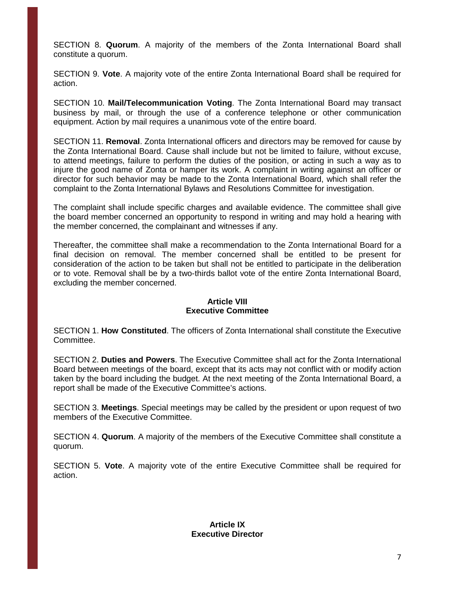SECTION 8. **Quorum**. A majority of the members of the Zonta International Board shall constitute a quorum.

SECTION 9. **Vote**. A majority vote of the entire Zonta International Board shall be required for action.

SECTION 10. **Mail/Telecommunication Voting**. The Zonta International Board may transact business by mail, or through the use of a conference telephone or other communication equipment. Action by mail requires a unanimous vote of the entire board.

SECTION 11. **Removal**. Zonta International officers and directors may be removed for cause by the Zonta International Board. Cause shall include but not be limited to failure, without excuse, to attend meetings, failure to perform the duties of the position, or acting in such a way as to injure the good name of Zonta or hamper its work. A complaint in writing against an officer or director for such behavior may be made to the Zonta International Board, which shall refer the complaint to the Zonta International Bylaws and Resolutions Committee for investigation.

The complaint shall include specific charges and available evidence. The committee shall give the board member concerned an opportunity to respond in writing and may hold a hearing with the member concerned, the complainant and witnesses if any.

Thereafter, the committee shall make a recommendation to the Zonta International Board for a final decision on removal. The member concerned shall be entitled to be present for consideration of the action to be taken but shall not be entitled to participate in the deliberation or to vote. Removal shall be by a two-thirds ballot vote of the entire Zonta International Board, excluding the member concerned.

## **Article VIII Executive Committee**

SECTION 1. **How Constituted**. The officers of Zonta International shall constitute the Executive Committee.

SECTION 2. **Duties and Powers**. The Executive Committee shall act for the Zonta International Board between meetings of the board, except that its acts may not conflict with or modify action taken by the board including the budget. At the next meeting of the Zonta International Board, a report shall be made of the Executive Committee's actions.

SECTION 3. **Meetings**. Special meetings may be called by the president or upon request of two members of the Executive Committee.

SECTION 4. **Quorum**. A majority of the members of the Executive Committee shall constitute a quorum.

SECTION 5. **Vote**. A majority vote of the entire Executive Committee shall be required for action.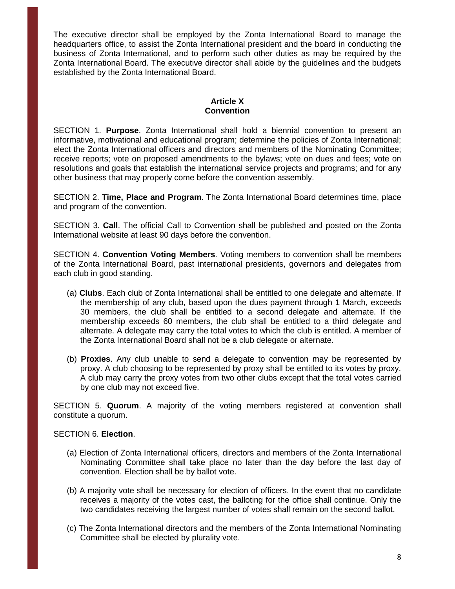The executive director shall be employed by the Zonta International Board to manage the headquarters office, to assist the Zonta International president and the board in conducting the business of Zonta International, and to perform such other duties as may be required by the Zonta International Board. The executive director shall abide by the guidelines and the budgets established by the Zonta International Board.

## **Article X Convention**

SECTION 1. **Purpose**. Zonta International shall hold a biennial convention to present an informative, motivational and educational program; determine the policies of Zonta International; elect the Zonta International officers and directors and members of the Nominating Committee; receive reports; vote on proposed amendments to the bylaws; vote on dues and fees; vote on resolutions and goals that establish the international service projects and programs; and for any other business that may properly come before the convention assembly.

SECTION 2. **Time, Place and Program**. The Zonta International Board determines time, place and program of the convention.

SECTION 3. **Call**. The official Call to Convention shall be published and posted on the Zonta International website at least 90 days before the convention.

SECTION 4. **Convention Voting Members**. Voting members to convention shall be members of the Zonta International Board, past international presidents, governors and delegates from each club in good standing.

- (a) **Clubs**. Each club of Zonta International shall be entitled to one delegate and alternate. If the membership of any club, based upon the dues payment through 1 March, exceeds 30 members, the club shall be entitled to a second delegate and alternate. If the membership exceeds 60 members, the club shall be entitled to a third delegate and alternate. A delegate may carry the total votes to which the club is entitled. A member of the Zonta International Board shall not be a club delegate or alternate.
- (b) **Proxies**. Any club unable to send a delegate to convention may be represented by proxy. A club choosing to be represented by proxy shall be entitled to its votes by proxy. A club may carry the proxy votes from two other clubs except that the total votes carried by one club may not exceed five.

SECTION 5. **Quorum**. A majority of the voting members registered at convention shall constitute a quorum.

## SECTION 6. **Election**.

- (a) Election of Zonta International officers, directors and members of the Zonta International Nominating Committee shall take place no later than the day before the last day of convention. Election shall be by ballot vote.
- (b) A majority vote shall be necessary for election of officers. In the event that no candidate receives a majority of the votes cast, the balloting for the office shall continue. Only the two candidates receiving the largest number of votes shall remain on the second ballot.
- (c) The Zonta International directors and the members of the Zonta International Nominating Committee shall be elected by plurality vote.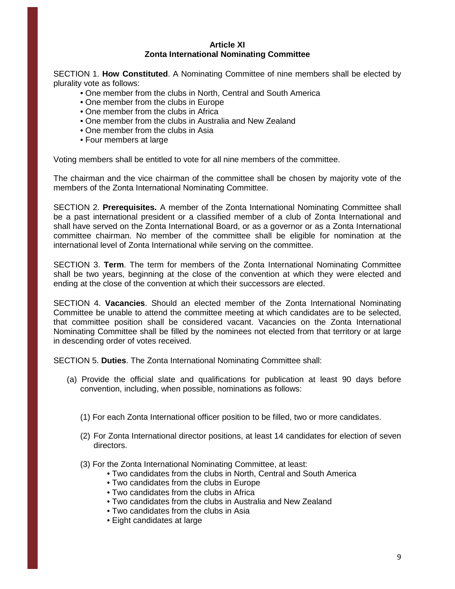#### **Article XI Zonta International Nominating Committee**

SECTION 1. **How Constituted**. A Nominating Committee of nine members shall be elected by plurality vote as follows:

- One member from the clubs in North, Central and South America
- One member from the clubs in Europe
- One member from the clubs in Africa
- One member from the clubs in Australia and New Zealand
- One member from the clubs in Asia
- Four members at large

Voting members shall be entitled to vote for all nine members of the committee.

The chairman and the vice chairman of the committee shall be chosen by majority vote of the members of the Zonta International Nominating Committee.

SECTION 2. **Prerequisites.** A member of the Zonta International Nominating Committee shall be a past international president or a classified member of a club of Zonta International and shall have served on the Zonta International Board, or as a governor or as a Zonta International committee chairman. No member of the committee shall be eligible for nomination at the international level of Zonta International while serving on the committee.

SECTION 3. **Term**. The term for members of the Zonta International Nominating Committee shall be two years, beginning at the close of the convention at which they were elected and ending at the close of the convention at which their successors are elected.

SECTION 4. **Vacancies**. Should an elected member of the Zonta International Nominating Committee be unable to attend the committee meeting at which candidates are to be selected, that committee position shall be considered vacant. Vacancies on the Zonta International Nominating Committee shall be filled by the nominees not elected from that territory or at large in descending order of votes received.

SECTION 5. **Duties**. The Zonta International Nominating Committee shall:

- (a) Provide the official slate and qualifications for publication at least 90 days before convention, including, when possible, nominations as follows:
	- (1) For each Zonta International officer position to be filled, two or more candidates.
	- (2) For Zonta International director positions, at least 14 candidates for election of seven directors.
	- (3) For the Zonta International Nominating Committee, at least:
		- Two candidates from the clubs in North, Central and South America
		- Two candidates from the clubs in Europe
		- Two candidates from the clubs in Africa
		- Two candidates from the clubs in Australia and New Zealand
		- Two candidates from the clubs in Asia
		- Eight candidates at large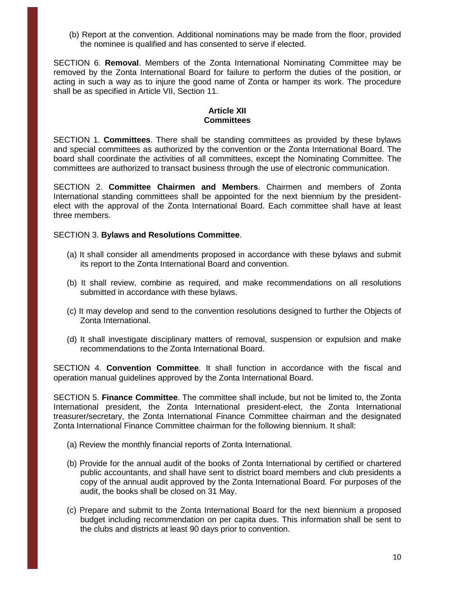(b) Report at the convention. Additional nominations may be made from the floor, provided the nominee is qualified and has consented to serve if elected.

SECTION 6. **Removal**. Members of the Zonta International Nominating Committee may be removed by the Zonta International Board for failure to perform the duties of the position, or acting in such a way as to injure the good name of Zonta or hamper its work. The procedure shall be as specified in Article VII, Section 11.

## **Article XII Committees**

SECTION 1. **Committees**. There shall be standing committees as provided by these bylaws and special committees as authorized by the convention or the Zonta International Board. The board shall coordinate the activities of all committees, except the Nominating Committee. The committees are authorized to transact business through the use of electronic communication.

SECTION 2. **Committee Chairmen and Members**. Chairmen and members of Zonta International standing committees shall be appointed for the next biennium by the presidentelect with the approval of the Zonta International Board. Each committee shall have at least three members.

## SECTION 3. **Bylaws and Resolutions Committee**.

- (a) It shall consider all amendments proposed in accordance with these bylaws and submit its report to the Zonta International Board and convention.
- (b) It shall review, combine as required, and make recommendations on all resolutions submitted in accordance with these bylaws.
- (c) It may develop and send to the convention resolutions designed to further the Objects of Zonta International.
- (d) It shall investigate disciplinary matters of removal, suspension or expulsion and make recommendations to the Zonta International Board.

SECTION 4. **Convention Committee**. It shall function in accordance with the fiscal and operation manual guidelines approved by the Zonta International Board.

SECTION 5. **Finance Committee**. The committee shall include, but not be limited to, the Zonta International president, the Zonta International president-elect, the Zonta International treasurer/secretary, the Zonta International Finance Committee chairman and the designated Zonta International Finance Committee chairman for the following biennium. It shall:

- (a) Review the monthly financial reports of Zonta International.
- (b) Provide for the annual audit of the books of Zonta International by certified or chartered public accountants, and shall have sent to district board members and club presidents a copy of the annual audit approved by the Zonta International Board. For purposes of the audit, the books shall be closed on 31 May.
- (c) Prepare and submit to the Zonta International Board for the next biennium a proposed budget including recommendation on per capita dues. This information shall be sent to the clubs and districts at least 90 days prior to convention.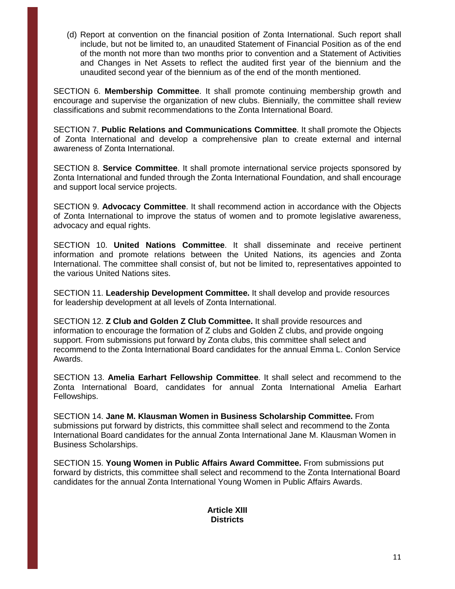(d) Report at convention on the financial position of Zonta International. Such report shall include, but not be limited to, an unaudited Statement of Financial Position as of the end of the month not more than two months prior to convention and a Statement of Activities and Changes in Net Assets to reflect the audited first year of the biennium and the unaudited second year of the biennium as of the end of the month mentioned.

SECTION 6. **Membership Committee**. It shall promote continuing membership growth and encourage and supervise the organization of new clubs. Biennially, the committee shall review classifications and submit recommendations to the Zonta International Board.

SECTION 7. **Public Relations and Communications Committee**. It shall promote the Objects of Zonta International and develop a comprehensive plan to create external and internal awareness of Zonta International.

SECTION 8. **Service Committee**. It shall promote international service projects sponsored by Zonta International and funded through the Zonta International Foundation, and shall encourage and support local service projects.

SECTION 9. **Advocacy Committee**. It shall recommend action in accordance with the Objects of Zonta International to improve the status of women and to promote legislative awareness, advocacy and equal rights.

SECTION 10. **United Nations Committee**. It shall disseminate and receive pertinent information and promote relations between the United Nations, its agencies and Zonta International. The committee shall consist of, but not be limited to, representatives appointed to the various United Nations sites.

SECTION 11. **Leadership Development Committee.** It shall develop and provide resources for leadership development at all levels of Zonta International.

SECTION 12. **Z Club and Golden Z Club Committee.** It shall provide resources and information to encourage the formation of Z clubs and Golden Z clubs, and provide ongoing support. From submissions put forward by Zonta clubs, this committee shall select and recommend to the Zonta International Board candidates for the annual Emma L. Conlon Service Awards.

SECTION 13. **Amelia Earhart Fellowship Committee**. It shall select and recommend to the Zonta International Board, candidates for annual Zonta International Amelia Earhart Fellowships.

SECTION 14. **Jane M. Klausman Women in Business Scholarship Committee.** From submissions put forward by districts, this committee shall select and recommend to the Zonta International Board candidates for the annual Zonta International Jane M. Klausman Women in Business Scholarships.

SECTION 15. **Young Women in Public Affairs Award Committee.** From submissions put forward by districts, this committee shall select and recommend to the Zonta International Board candidates for the annual Zonta International Young Women in Public Affairs Awards.

## **Article XIII Districts**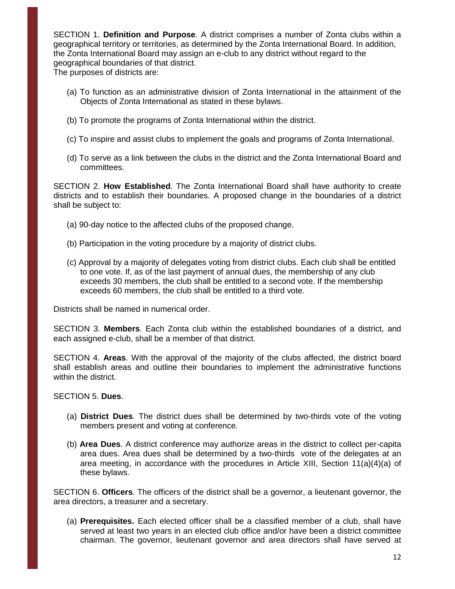SECTION 1. **Definition and Purpose**. A district comprises a number of Zonta clubs within a geographical territory or territories, as determined by the Zonta International Board. In addition, the Zonta International Board may assign an e-club to any district without regard to the geographical boundaries of that district.

The purposes of districts are:

- (a) To function as an administrative division of Zonta International in the attainment of the Objects of Zonta International as stated in these bylaws.
- (b) To promote the programs of Zonta International within the district.
- (c) To inspire and assist clubs to implement the goals and programs of Zonta International.
- (d) To serve as a link between the clubs in the district and the Zonta International Board and committees.

SECTION 2. **How Established**. The Zonta International Board shall have authority to create districts and to establish their boundaries. A proposed change in the boundaries of a district shall be subject to:

- (a) 90-day notice to the affected clubs of the proposed change.
- (b) Participation in the voting procedure by a majority of district clubs.
- (c) Approval by a majority of delegates voting from district clubs. Each club shall be entitled to one vote. If, as of the last payment of annual dues, the membership of any club exceeds 30 members, the club shall be entitled to a second vote. If the membership exceeds 60 members, the club shall be entitled to a third vote.

Districts shall be named in numerical order.

SECTION 3. **Members**. Each Zonta club within the established boundaries of a district, and each assigned e-club, shall be a member of that district.

SECTION 4. **Areas**. With the approval of the majority of the clubs affected, the district board shall establish areas and outline their boundaries to implement the administrative functions within the district.

SECTION 5. **Dues**.

- (a) **District Dues**. The district dues shall be determined by two-thirds vote of the voting members present and voting at conference.
- (b) **Area Dues**. A district conference may authorize areas in the district to collect per-capita area dues. Area dues shall be determined by a two-thirds vote of the delegates at an area meeting, in accordance with the procedures in Article XIII, Section  $11(a)(4)(a)$  of these bylaws.

SECTION 6. **Officers**. The officers of the district shall be a governor, a lieutenant governor, the area directors, a treasurer and a secretary.

(a) **Prerequisites.** Each elected officer shall be a classified member of a club, shall have served at least two years in an elected club office and/or have been a district committee chairman. The governor, lieutenant governor and area directors shall have served at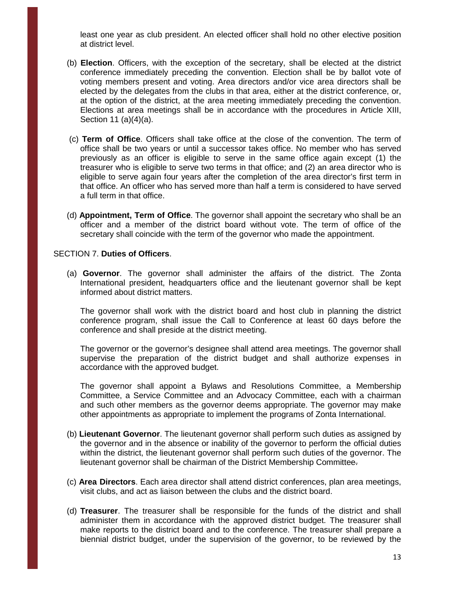least one year as club president. An elected officer shall hold no other elective position at district level.

- (b) **Election**. Officers, with the exception of the secretary, shall be elected at the district conference immediately preceding the convention. Election shall be by ballot vote of voting members present and voting. Area directors and/or vice area directors shall be elected by the delegates from the clubs in that area, either at the district conference, or, at the option of the district, at the area meeting immediately preceding the convention. Elections at area meetings shall be in accordance with the procedures in Article XIII, Section 11 (a)(4)(a).
- (c) **Term of Office**. Officers shall take office at the close of the convention. The term of office shall be two years or until a successor takes office. No member who has served previously as an officer is eligible to serve in the same office again except (1) the treasurer who is eligible to serve two terms in that office; and (2) an area director who is eligible to serve again four years after the completion of the area director's first term in that office. An officer who has served more than half a term is considered to have served a full term in that office.
- (d) **Appointment, Term of Office**. The governor shall appoint the secretary who shall be an officer and a member of the district board without vote. The term of office of the secretary shall coincide with the term of the governor who made the appointment.

## SECTION 7. **Duties of Officers**.

(a) **Governor**. The governor shall administer the affairs of the district. The Zonta International president, headquarters office and the lieutenant governor shall be kept informed about district matters.

The governor shall work with the district board and host club in planning the district conference program, shall issue the Call to Conference at least 60 days before the conference and shall preside at the district meeting.

The governor or the governor's designee shall attend area meetings. The governor shall supervise the preparation of the district budget and shall authorize expenses in accordance with the approved budget.

The governor shall appoint a Bylaws and Resolutions Committee, a Membership Committee, a Service Committee and an Advocacy Committee, each with a chairman and such other members as the governor deems appropriate. The governor may make other appointments as appropriate to implement the programs of Zonta International.

- (b) **Lieutenant Governor**. The lieutenant governor shall perform such duties as assigned by the governor and in the absence or inability of the governor to perform the official duties within the district, the lieutenant governor shall perform such duties of the governor. The lieutenant governor shall be chairman of the District Membership Committee.
- (c) **Area Directors**. Each area director shall attend district conferences, plan area meetings, visit clubs, and act as liaison between the clubs and the district board.
- (d) **Treasurer**. The treasurer shall be responsible for the funds of the district and shall administer them in accordance with the approved district budget. The treasurer shall make reports to the district board and to the conference. The treasurer shall prepare a biennial district budget, under the supervision of the governor, to be reviewed by the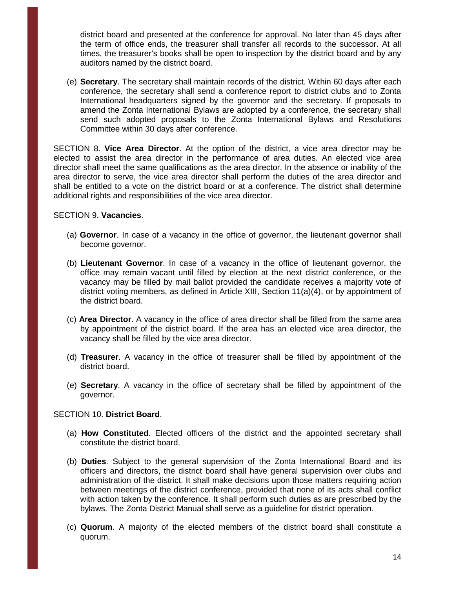district board and presented at the conference for approval. No later than 45 days after the term of office ends, the treasurer shall transfer all records to the successor. At all times, the treasurer's books shall be open to inspection by the district board and by any auditors named by the district board.

(e) **Secretary**. The secretary shall maintain records of the district. Within 60 days after each conference, the secretary shall send a conference report to district clubs and to Zonta International headquarters signed by the governor and the secretary. If proposals to amend the Zonta International Bylaws are adopted by a conference, the secretary shall send such adopted proposals to the Zonta International Bylaws and Resolutions Committee within 30 days after conference.

SECTION 8. **Vice Area Director**. At the option of the district, a vice area director may be elected to assist the area director in the performance of area duties. An elected vice area director shall meet the same qualifications as the area director. In the absence or inability of the area director to serve, the vice area director shall perform the duties of the area director and shall be entitled to a vote on the district board or at a conference. The district shall determine additional rights and responsibilities of the vice area director.

## SECTION 9. **Vacancies**.

- (a) **Governor**. In case of a vacancy in the office of governor, the lieutenant governor shall become governor.
- (b) **Lieutenant Governor**. In case of a vacancy in the office of lieutenant governor, the office may remain vacant until filled by election at the next district conference, or the vacancy may be filled by mail ballot provided the candidate receives a majority vote of district voting members, as defined in Article XIII, Section 11(a)(4), or by appointment of the district board.
- (c) **Area Director**. A vacancy in the office of area director shall be filled from the same area by appointment of the district board. If the area has an elected vice area director, the vacancy shall be filled by the vice area director.
- (d) **Treasurer**. A vacancy in the office of treasurer shall be filled by appointment of the district board.
- (e) **Secretary**. A vacancy in the office of secretary shall be filled by appointment of the governor.

## SECTION 10. **District Board**.

- (a) **How Constituted**. Elected officers of the district and the appointed secretary shall constitute the district board.
- (b) **Duties**. Subject to the general supervision of the Zonta International Board and its officers and directors, the district board shall have general supervision over clubs and administration of the district. It shall make decisions upon those matters requiring action between meetings of the district conference, provided that none of its acts shall conflict with action taken by the conference. It shall perform such duties as are prescribed by the bylaws. The Zonta District Manual shall serve as a guideline for district operation.
- (c) **Quorum**. A majority of the elected members of the district board shall constitute a quorum.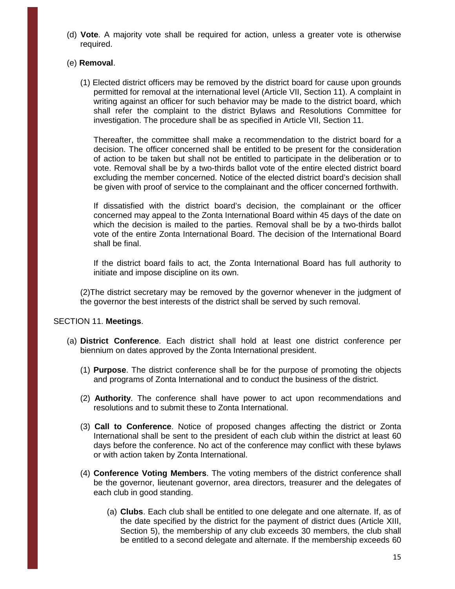(d) **Vote**. A majority vote shall be required for action, unless a greater vote is otherwise required.

## (e) **Removal**.

(1) Elected district officers may be removed by the district board for cause upon grounds permitted for removal at the international level (Article VII, Section 11). A complaint in writing against an officer for such behavior may be made to the district board, which shall refer the complaint to the district Bylaws and Resolutions Committee for investigation. The procedure shall be as specified in Article VII, Section 11.

Thereafter, the committee shall make a recommendation to the district board for a decision. The officer concerned shall be entitled to be present for the consideration of action to be taken but shall not be entitled to participate in the deliberation or to vote. Removal shall be by a two-thirds ballot vote of the entire elected district board excluding the member concerned. Notice of the elected district board's decision shall be given with proof of service to the complainant and the officer concerned forthwith.

If dissatisfied with the district board's decision, the complainant or the officer concerned may appeal to the Zonta International Board within 45 days of the date on which the decision is mailed to the parties. Removal shall be by a two-thirds ballot vote of the entire Zonta International Board. The decision of the International Board shall be final.

If the district board fails to act, the Zonta International Board has full authority to initiate and impose discipline on its own.

(2)The district secretary may be removed by the governor whenever in the judgment of the governor the best interests of the district shall be served by such removal.

## SECTION 11. **Meetings**.

- (a) **District Conference**. Each district shall hold at least one district conference per biennium on dates approved by the Zonta International president.
	- (1) **Purpose**. The district conference shall be for the purpose of promoting the objects and programs of Zonta International and to conduct the business of the district.
	- (2) **Authority**. The conference shall have power to act upon recommendations and resolutions and to submit these to Zonta International.
	- (3) **Call to Conference**. Notice of proposed changes affecting the district or Zonta International shall be sent to the president of each club within the district at least 60 days before the conference. No act of the conference may conflict with these bylaws or with action taken by Zonta International.
	- (4) **Conference Voting Members**. The voting members of the district conference shall be the governor, lieutenant governor, area directors, treasurer and the delegates of each club in good standing.
		- (a) **Clubs**. Each club shall be entitled to one delegate and one alternate. If, as of the date specified by the district for the payment of district dues (Article XIII, Section 5), the membership of any club exceeds 30 members, the club shall be entitled to a second delegate and alternate. If the membership exceeds 60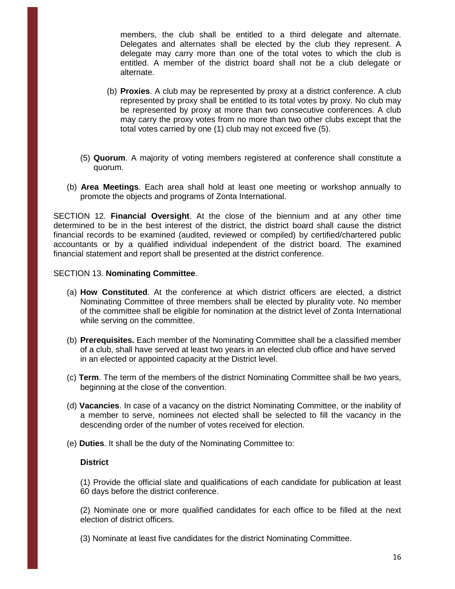members, the club shall be entitled to a third delegate and alternate. Delegates and alternates shall be elected by the club they represent. A delegate may carry more than one of the total votes to which the club is entitled. A member of the district board shall not be a club delegate or alternate.

- (b) **Proxies**. A club may be represented by proxy at a district conference. A club represented by proxy shall be entitled to its total votes by proxy. No club may be represented by proxy at more than two consecutive conferences. A club may carry the proxy votes from no more than two other clubs except that the total votes carried by one (1) club may not exceed five (5).
- (5) **Quorum**. A majority of voting members registered at conference shall constitute a quorum.
- (b) **Area Meetings**. Each area shall hold at least one meeting or workshop annually to promote the objects and programs of Zonta International.

SECTION 12. **Financial Oversight**. At the close of the biennium and at any other time determined to be in the best interest of the district, the district board shall cause the district financial records to be examined (audited, reviewed or compiled) by certified/chartered public accountants or by a qualified individual independent of the district board. The examined financial statement and report shall be presented at the district conference.

## SECTION 13. **Nominating Committee**.

- (a) **How Constituted**. At the conference at which district officers are elected, a district Nominating Committee of three members shall be elected by plurality vote. No member of the committee shall be eligible for nomination at the district level of Zonta International while serving on the committee.
- (b) **Prerequisites.** Each member of the Nominating Committee shall be a classified member of a club, shall have served at least two years in an elected club office and have served in an elected or appointed capacity at the District level.
- (c) **Term**. The term of the members of the district Nominating Committee shall be two years, beginning at the close of the convention.
- (d) **Vacancies**. In case of a vacancy on the district Nominating Committee, or the inability of a member to serve, nominees not elected shall be selected to fill the vacancy in the descending order of the number of votes received for election.
- (e) **Duties**. It shall be the duty of the Nominating Committee to:

## **District**

(1) Provide the official slate and qualifications of each candidate for publication at least 60 days before the district conference.

(2) Nominate one or more qualified candidates for each office to be filled at the next election of district officers.

(3) Nominate at least five candidates for the district Nominating Committee.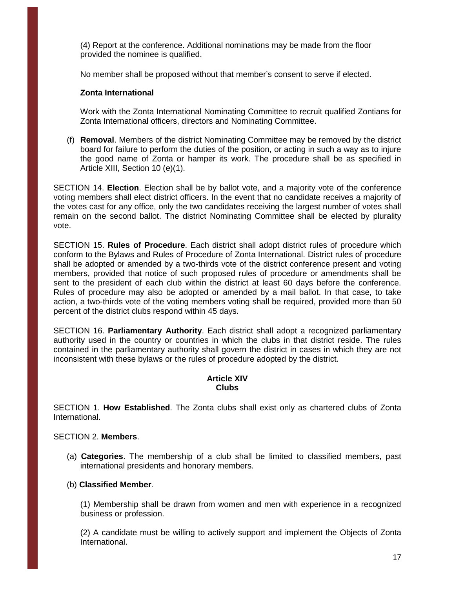(4) Report at the conference. Additional nominations may be made from the floor provided the nominee is qualified.

No member shall be proposed without that member's consent to serve if elected.

#### **Zonta International**

Work with the Zonta International Nominating Committee to recruit qualified Zontians for Zonta International officers, directors and Nominating Committee.

(f) **Removal**. Members of the district Nominating Committee may be removed by the district board for failure to perform the duties of the position, or acting in such a way as to injure the good name of Zonta or hamper its work. The procedure shall be as specified in Article XIII, Section 10 (e)(1).

SECTION 14. **Election**. Election shall be by ballot vote, and a majority vote of the conference voting members shall elect district officers. In the event that no candidate receives a majority of the votes cast for any office, only the two candidates receiving the largest number of votes shall remain on the second ballot. The district Nominating Committee shall be elected by plurality vote.

SECTION 15. **Rules of Procedure**. Each district shall adopt district rules of procedure which conform to the Bylaws and Rules of Procedure of Zonta International. District rules of procedure shall be adopted or amended by a two-thirds vote of the district conference present and voting members, provided that notice of such proposed rules of procedure or amendments shall be sent to the president of each club within the district at least 60 days before the conference. Rules of procedure may also be adopted or amended by a mail ballot. In that case, to take action, a two-thirds vote of the voting members voting shall be required, provided more than 50 percent of the district clubs respond within 45 days.

SECTION 16. **Parliamentary Authority**. Each district shall adopt a recognized parliamentary authority used in the country or countries in which the clubs in that district reside. The rules contained in the parliamentary authority shall govern the district in cases in which they are not inconsistent with these bylaws or the rules of procedure adopted by the district.

## **Article XIV Clubs**

SECTION 1. **How Established**. The Zonta clubs shall exist only as chartered clubs of Zonta International.

## SECTION 2. **Members**.

(a) **Categories**. The membership of a club shall be limited to classified members, past international presidents and honorary members.

## (b) **Classified Member**.

(1) Membership shall be drawn from women and men with experience in a recognized business or profession.

(2) A candidate must be willing to actively support and implement the Objects of Zonta International.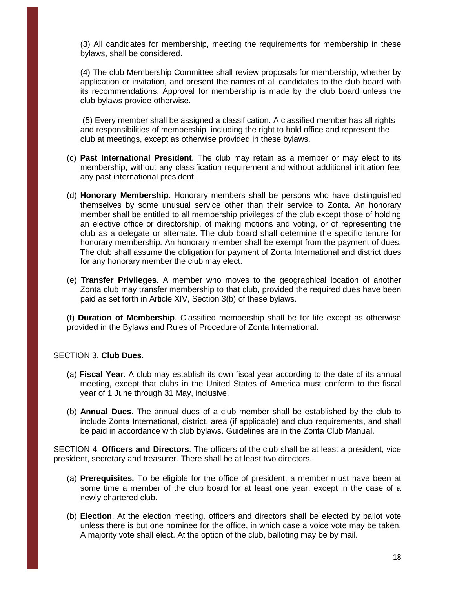(3) All candidates for membership, meeting the requirements for membership in these bylaws, shall be considered.

(4) The club Membership Committee shall review proposals for membership, whether by application or invitation, and present the names of all candidates to the club board with its recommendations. Approval for membership is made by the club board unless the club bylaws provide otherwise.

(5) Every member shall be assigned a classification. A classified member has all rights and responsibilities of membership, including the right to hold office and represent the club at meetings, except as otherwise provided in these bylaws.

- (c) **Past International President**. The club may retain as a member or may elect to its membership, without any classification requirement and without additional initiation fee, any past international president.
- (d) **Honorary Membership**. Honorary members shall be persons who have distinguished themselves by some unusual service other than their service to Zonta. An honorary member shall be entitled to all membership privileges of the club except those of holding an elective office or directorship, of making motions and voting, or of representing the club as a delegate or alternate. The club board shall determine the specific tenure for honorary membership. An honorary member shall be exempt from the payment of dues. The club shall assume the obligation for payment of Zonta International and district dues for any honorary member the club may elect.
- (e) **Transfer Privileges**. A member who moves to the geographical location of another Zonta club may transfer membership to that club, provided the required dues have been paid as set forth in Article XIV, Section 3(b) of these bylaws.

(f) **Duration of Membership**. Classified membership shall be for life except as otherwise provided in the Bylaws and Rules of Procedure of Zonta International.

## SECTION 3. **Club Dues**.

- (a) **Fiscal Year**. A club may establish its own fiscal year according to the date of its annual meeting, except that clubs in the United States of America must conform to the fiscal year of 1 June through 31 May, inclusive.
- (b) **Annual Dues**. The annual dues of a club member shall be established by the club to include Zonta International, district, area (if applicable) and club requirements, and shall be paid in accordance with club bylaws. Guidelines are in the Zonta Club Manual.

SECTION 4. **Officers and Directors**. The officers of the club shall be at least a president, vice president, secretary and treasurer. There shall be at least two directors.

- (a) **Prerequisites.** To be eligible for the office of president, a member must have been at some time a member of the club board for at least one year, except in the case of a newly chartered club.
- (b) **Election**. At the election meeting, officers and directors shall be elected by ballot vote unless there is but one nominee for the office, in which case a voice vote may be taken. A majority vote shall elect. At the option of the club, balloting may be by mail.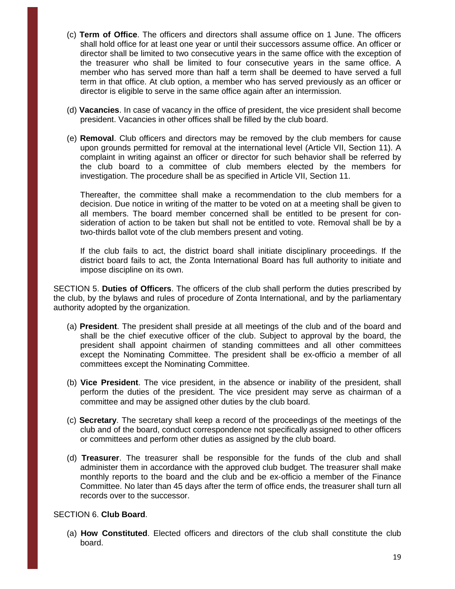- (c) **Term of Office**. The officers and directors shall assume office on 1 June. The officers shall hold office for at least one year or until their successors assume office. An officer or director shall be limited to two consecutive years in the same office with the exception of the treasurer who shall be limited to four consecutive years in the same office. A member who has served more than half a term shall be deemed to have served a full term in that office. At club option, a member who has served previously as an officer or director is eligible to serve in the same office again after an intermission.
- (d) **Vacancies**. In case of vacancy in the office of president, the vice president shall become president. Vacancies in other offices shall be filled by the club board.
- (e) **Removal**. Club officers and directors may be removed by the club members for cause upon grounds permitted for removal at the international level (Article VII, Section 11). A complaint in writing against an officer or director for such behavior shall be referred by the club board to a committee of club members elected by the members for investigation. The procedure shall be as specified in Article VII, Section 11.

Thereafter, the committee shall make a recommendation to the club members for a decision. Due notice in writing of the matter to be voted on at a meeting shall be given to all members. The board member concerned shall be entitled to be present for consideration of action to be taken but shall not be entitled to vote. Removal shall be by a two-thirds ballot vote of the club members present and voting.

If the club fails to act, the district board shall initiate disciplinary proceedings. If the district board fails to act, the Zonta International Board has full authority to initiate and impose discipline on its own.

SECTION 5. **Duties of Officers**. The officers of the club shall perform the duties prescribed by the club, by the bylaws and rules of procedure of Zonta International, and by the parliamentary authority adopted by the organization.

- (a) **President**. The president shall preside at all meetings of the club and of the board and shall be the chief executive officer of the club. Subject to approval by the board, the president shall appoint chairmen of standing committees and all other committees except the Nominating Committee. The president shall be ex-officio a member of all committees except the Nominating Committee.
- (b) **Vice President**. The vice president, in the absence or inability of the president, shall perform the duties of the president. The vice president may serve as chairman of a committee and may be assigned other duties by the club board.
- (c) **Secretary**. The secretary shall keep a record of the proceedings of the meetings of the club and of the board, conduct correspondence not specifically assigned to other officers or committees and perform other duties as assigned by the club board.
- (d) **Treasurer**. The treasurer shall be responsible for the funds of the club and shall administer them in accordance with the approved club budget. The treasurer shall make monthly reports to the board and the club and be ex-officio a member of the Finance Committee. No later than 45 days after the term of office ends, the treasurer shall turn all records over to the successor.

## SECTION 6. **Club Board**.

(a) **How Constituted**. Elected officers and directors of the club shall constitute the club board.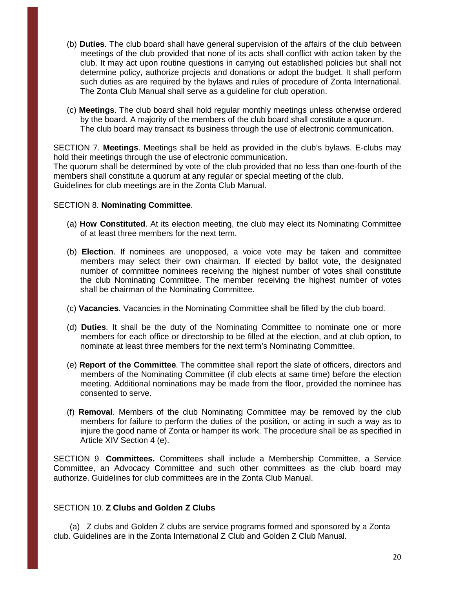- (b) **Duties**. The club board shall have general supervision of the affairs of the club between meetings of the club provided that none of its acts shall conflict with action taken by the club. It may act upon routine questions in carrying out established policies but shall not determine policy, authorize projects and donations or adopt the budget. It shall perform such duties as are required by the bylaws and rules of procedure of Zonta International. The Zonta Club Manual shall serve as a guideline for club operation.
- (c) **Meetings**. The club board shall hold regular monthly meetings unless otherwise ordered by the board. A majority of the members of the club board shall constitute a quorum. The club board may transact its business through the use of electronic communication.

SECTION 7. **Meetings**. Meetings shall be held as provided in the club's bylaws. E-clubs may hold their meetings through the use of electronic communication. The quorum shall be determined by vote of the club provided that no less than one-fourth of the members shall constitute a quorum at any regular or special meeting of the club. Guidelines for club meetings are in the Zonta Club Manual.

## SECTION 8. **Nominating Committee**.

- (a) **How Constituted**. At its election meeting, the club may elect its Nominating Committee of at least three members for the next term.
- (b) **Election**. If nominees are unopposed, a voice vote may be taken and committee members may select their own chairman. If elected by ballot vote, the designated number of committee nominees receiving the highest number of votes shall constitute the club Nominating Committee. The member receiving the highest number of votes shall be chairman of the Nominating Committee.
- (c) **Vacancies**. Vacancies in the Nominating Committee shall be filled by the club board.
- (d) **Duties**. It shall be the duty of the Nominating Committee to nominate one or more members for each office or directorship to be filled at the election, and at club option, to nominate at least three members for the next term's Nominating Committee.
- (e) **Report of the Committee**. The committee shall report the slate of officers, directors and members of the Nominating Committee (if club elects at same time) before the election meeting. Additional nominations may be made from the floor, provided the nominee has consented to serve.
- (f) **Removal**. Members of the club Nominating Committee may be removed by the club members for failure to perform the duties of the position, or acting in such a way as to injure the good name of Zonta or hamper its work. The procedure shall be as specified in Article XIV Section 4 (e).

SECTION 9. **Committees.** Committees shall include a Membership Committee, a Service Committee, an Advocacy Committee and such other committees as the club board may authorize. Guidelines for club committees are in the Zonta Club Manual.

## SECTION 10. **Z Clubs and Golden Z Clubs**

(a) Z clubs and Golden Z clubs are service programs formed and sponsored by a Zonta club. Guidelines are in the Zonta International Z Club and Golden Z Club Manual.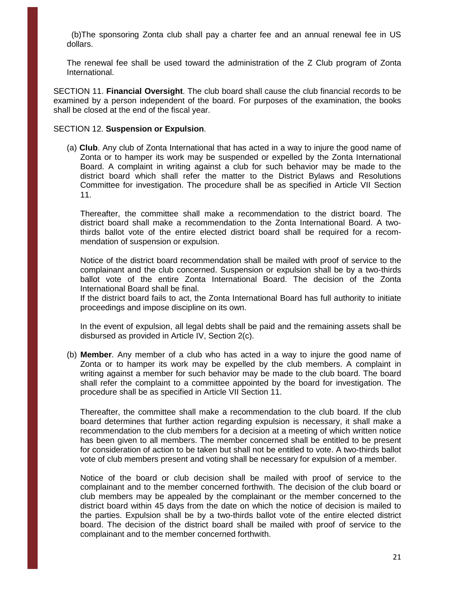(b)The sponsoring Zonta club shall pay a charter fee and an annual renewal fee in US dollars.

The renewal fee shall be used toward the administration of the Z Club program of Zonta International.

SECTION 11. **Financial Oversight**. The club board shall cause the club financial records to be examined by a person independent of the board. For purposes of the examination, the books shall be closed at the end of the fiscal year.

#### SECTION 12. **Suspension or Expulsion**.

(a) **Club**. Any club of Zonta International that has acted in a way to injure the good name of Zonta or to hamper its work may be suspended or expelled by the Zonta International Board. A complaint in writing against a club for such behavior may be made to the district board which shall refer the matter to the District Bylaws and Resolutions Committee for investigation. The procedure shall be as specified in Article VII Section 11.

Thereafter, the committee shall make a recommendation to the district board. The district board shall make a recommendation to the Zonta International Board. A twothirds ballot vote of the entire elected district board shall be required for a recommendation of suspension or expulsion.

Notice of the district board recommendation shall be mailed with proof of service to the complainant and the club concerned. Suspension or expulsion shall be by a two-thirds ballot vote of the entire Zonta International Board. The decision of the Zonta International Board shall be final.

If the district board fails to act, the Zonta International Board has full authority to initiate proceedings and impose discipline on its own.

In the event of expulsion, all legal debts shall be paid and the remaining assets shall be disbursed as provided in Article IV, Section 2(c).

(b) **Member**. Any member of a club who has acted in a way to injure the good name of Zonta or to hamper its work may be expelled by the club members. A complaint in writing against a member for such behavior may be made to the club board. The board shall refer the complaint to a committee appointed by the board for investigation. The procedure shall be as specified in Article VII Section 11.

Thereafter, the committee shall make a recommendation to the club board. If the club board determines that further action regarding expulsion is necessary, it shall make a recommendation to the club members for a decision at a meeting of which written notice has been given to all members. The member concerned shall be entitled to be present for consideration of action to be taken but shall not be entitled to vote. A two-thirds ballot vote of club members present and voting shall be necessary for expulsion of a member.

Notice of the board or club decision shall be mailed with proof of service to the complainant and to the member concerned forthwith. The decision of the club board or club members may be appealed by the complainant or the member concerned to the district board within 45 days from the date on which the notice of decision is mailed to the parties. Expulsion shall be by a two-thirds ballot vote of the entire elected district board. The decision of the district board shall be mailed with proof of service to the complainant and to the member concerned forthwith.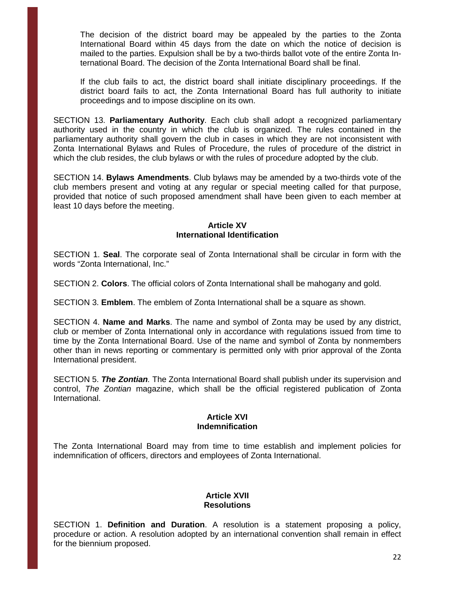The decision of the district board may be appealed by the parties to the Zonta International Board within 45 days from the date on which the notice of decision is mailed to the parties. Expulsion shall be by a two-thirds ballot vote of the entire Zonta International Board. The decision of the Zonta International Board shall be final.

If the club fails to act, the district board shall initiate disciplinary proceedings. If the district board fails to act, the Zonta International Board has full authority to initiate proceedings and to impose discipline on its own.

SECTION 13. **Parliamentary Authority**. Each club shall adopt a recognized parliamentary authority used in the country in which the club is organized. The rules contained in the parliamentary authority shall govern the club in cases in which they are not inconsistent with Zonta International Bylaws and Rules of Procedure, the rules of procedure of the district in which the club resides, the club bylaws or with the rules of procedure adopted by the club.

SECTION 14. **Bylaws Amendments**. Club bylaws may be amended by a two-thirds vote of the club members present and voting at any regular or special meeting called for that purpose, provided that notice of such proposed amendment shall have been given to each member at least 10 days before the meeting.

## **Article XV International Identification**

SECTION 1. **Seal**. The corporate seal of Zonta International shall be circular in form with the words "Zonta International, Inc."

SECTION 2. **Colors**. The official colors of Zonta International shall be mahogany and gold.

SECTION 3. **Emblem**. The emblem of Zonta International shall be a square as shown.

SECTION 4. **Name and Marks**. The name and symbol of Zonta may be used by any district, club or member of Zonta International only in accordance with regulations issued from time to time by the Zonta International Board. Use of the name and symbol of Zonta by nonmembers other than in news reporting or commentary is permitted only with prior approval of the Zonta International president.

SECTION 5. *The Zontian.* The Zonta International Board shall publish under its supervision and control, *The Zontian* magazine, which shall be the official registered publication of Zonta International.

## **Article XVI Indemnification**

The Zonta International Board may from time to time establish and implement policies for indemnification of officers, directors and employees of Zonta International.

## **Article XVII Resolutions**

SECTION 1. **Definition and Duration**. A resolution is a statement proposing a policy, procedure or action. A resolution adopted by an international convention shall remain in effect for the biennium proposed.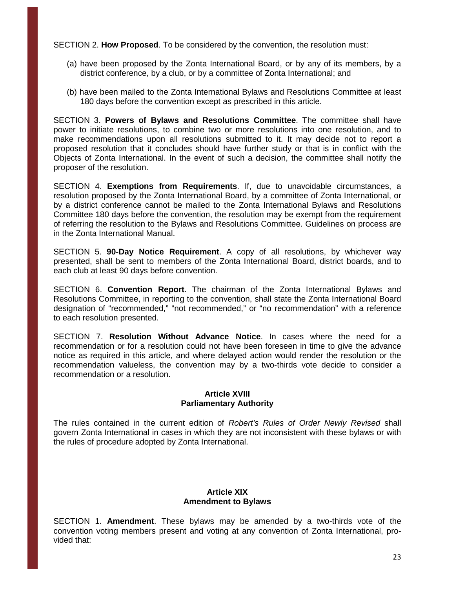SECTION 2. **How Proposed**. To be considered by the convention, the resolution must:

- (a) have been proposed by the Zonta International Board, or by any of its members, by a district conference, by a club, or by a committee of Zonta International; and
- (b) have been mailed to the Zonta International Bylaws and Resolutions Committee at least 180 days before the convention except as prescribed in this article.

SECTION 3. **Powers of Bylaws and Resolutions Committee**. The committee shall have power to initiate resolutions, to combine two or more resolutions into one resolution, and to make recommendations upon all resolutions submitted to it. It may decide not to report a proposed resolution that it concludes should have further study or that is in conflict with the Objects of Zonta International. In the event of such a decision, the committee shall notify the proposer of the resolution.

SECTION 4. **Exemptions from Requirements**. If, due to unavoidable circumstances, a resolution proposed by the Zonta International Board, by a committee of Zonta International, or by a district conference cannot be mailed to the Zonta International Bylaws and Resolutions Committee 180 days before the convention, the resolution may be exempt from the requirement of referring the resolution to the Bylaws and Resolutions Committee. Guidelines on process are in the Zonta International Manual.

SECTION 5. **90-Day Notice Requirement**. A copy of all resolutions, by whichever way presented, shall be sent to members of the Zonta International Board, district boards, and to each club at least 90 days before convention.

SECTION 6. **Convention Report**. The chairman of the Zonta International Bylaws and Resolutions Committee, in reporting to the convention, shall state the Zonta International Board designation of "recommended," "not recommended," or "no recommendation" with a reference to each resolution presented.

SECTION 7. **Resolution Without Advance Notice**. In cases where the need for a recommendation or for a resolution could not have been foreseen in time to give the advance notice as required in this article, and where delayed action would render the resolution or the recommendation valueless, the convention may by a two-thirds vote decide to consider a recommendation or a resolution.

## **Article XVIII Parliamentary Authority**

The rules contained in the current edition of *Robert's Rules of Order Newly Revised* shall govern Zonta International in cases in which they are not inconsistent with these bylaws or with the rules of procedure adopted by Zonta International.

## **Article XIX Amendment to Bylaws**

SECTION 1. **Amendment**. These bylaws may be amended by a two-thirds vote of the convention voting members present and voting at any convention of Zonta International, provided that: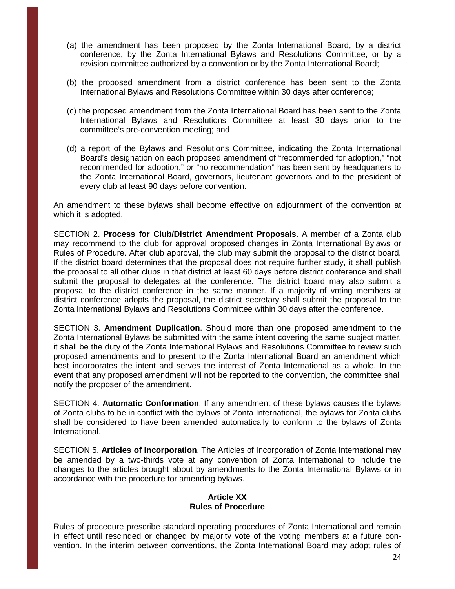- (a) the amendment has been proposed by the Zonta International Board, by a district conference, by the Zonta International Bylaws and Resolutions Committee, or by a revision committee authorized by a convention or by the Zonta International Board;
- (b) the proposed amendment from a district conference has been sent to the Zonta International Bylaws and Resolutions Committee within 30 days after conference;
- (c) the proposed amendment from the Zonta International Board has been sent to the Zonta International Bylaws and Resolutions Committee at least 30 days prior to the committee's pre-convention meeting; and
- (d) a report of the Bylaws and Resolutions Committee, indicating the Zonta International Board's designation on each proposed amendment of "recommended for adoption," "not recommended for adoption," or "no recommendation" has been sent by headquarters to the Zonta International Board, governors, lieutenant governors and to the president of every club at least 90 days before convention.

An amendment to these bylaws shall become effective on adjournment of the convention at which it is adopted.

SECTION 2. **Process for Club/District Amendment Proposals**. A member of a Zonta club may recommend to the club for approval proposed changes in Zonta International Bylaws or Rules of Procedure. After club approval, the club may submit the proposal to the district board. If the district board determines that the proposal does not require further study, it shall publish the proposal to all other clubs in that district at least 60 days before district conference and shall submit the proposal to delegates at the conference. The district board may also submit a proposal to the district conference in the same manner. If a majority of voting members at district conference adopts the proposal, the district secretary shall submit the proposal to the Zonta International Bylaws and Resolutions Committee within 30 days after the conference.

SECTION 3. **Amendment Duplication**. Should more than one proposed amendment to the Zonta International Bylaws be submitted with the same intent covering the same subject matter, it shall be the duty of the Zonta International Bylaws and Resolutions Committee to review such proposed amendments and to present to the Zonta International Board an amendment which best incorporates the intent and serves the interest of Zonta International as a whole. In the event that any proposed amendment will not be reported to the convention, the committee shall notify the proposer of the amendment.

SECTION 4. **Automatic Conformation**. If any amendment of these bylaws causes the bylaws of Zonta clubs to be in conflict with the bylaws of Zonta International, the bylaws for Zonta clubs shall be considered to have been amended automatically to conform to the bylaws of Zonta International.

SECTION 5. **Articles of Incorporation**. The Articles of Incorporation of Zonta International may be amended by a two-thirds vote at any convention of Zonta International to include the changes to the articles brought about by amendments to the Zonta International Bylaws or in accordance with the procedure for amending bylaws.

#### **Article XX Rules of Procedure**

Rules of procedure prescribe standard operating procedures of Zonta International and remain in effect until rescinded or changed by majority vote of the voting members at a future convention. In the interim between conventions, the Zonta International Board may adopt rules of